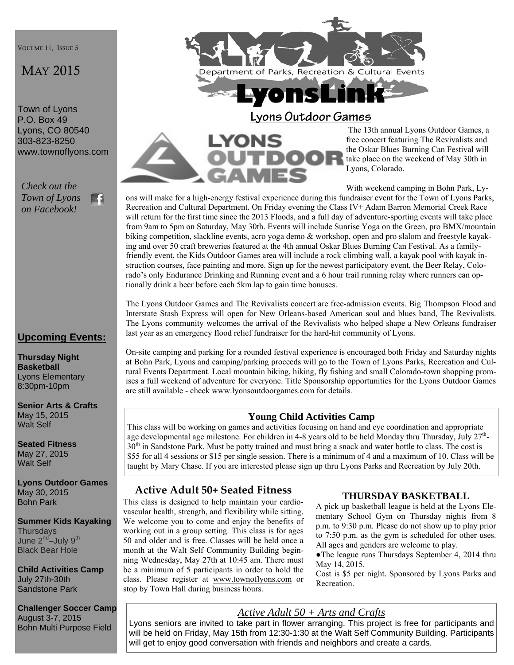VOULME 11, ISSUE 5

# MAY 2015

Town of Lyons P.O. Box 49 Lyons, CO 80540 303-823-8250 www.townoflyons.com

*Check out the Town of Lyons*  m *on Facebook!* 

### **Upcoming Events:**

**Thursday Night Basketball**  Lyons Elementary 8:30pm-10pm

**Senior Arts & Crafts**  May 15, 2015 Walt Self

**Seated Fitness**  May 27, 2015 Walt Self

**Lyons Outdoor Games**  May 30, 2015 Bohn Park

**Summer Kids Kayaking Thursdays** June 2<sup>nd</sup>–July 9<sup>th</sup> Black Bear Hole

**Child Activities Camp**  July 27th-30th Sandstone Park

**Challenger Soccer Camp**  August 3-7, 2015 Bohn Multi Purpose Field



## **Lyons Outdoor Games**



The 13th annual Lyons Outdoor Games, a free concert featuring The Revivalists and the Oskar Blues Burning Can Festival will take place on the weekend of May 30th in Lyons, Colorado.

With weekend camping in Bohn Park, Ly-

ons will make for a high-energy festival experience during this fundraiser event for the Town of Lyons Parks, Recreation and Cultural Department. On Friday evening the Class IV+ Adam Barron Memorial Creek Race will return for the first time since the 2013 Floods, and a full day of adventure-sporting events will take place from 9am to 5pm on Saturday, May 30th. Events will include Sunrise Yoga on the Green, pro BMX/mountain biking competition, slackline events, acro yoga demo & workshop, open and pro slalom and freestyle kayaking and over 50 craft breweries featured at the 4th annual Oskar Blues Burning Can Festival. As a familyfriendly event, the Kids Outdoor Games area will include a rock climbing wall, a kayak pool with kayak instruction courses, face painting and more. Sign up for the newest participatory event, the Beer Relay, Colorado's only Endurance Drinking and Running event and a 6 hour trail running relay where runners can optionally drink a beer before each 5km lap to gain time bonuses.

The Lyons Outdoor Games and The Revivalists concert are free-admission events. Big Thompson Flood and Interstate Stash Express will open for New Orleans-based American soul and blues band, The Revivalists. The Lyons community welcomes the arrival of the Revivalists who helped shape a New Orleans fundraiser last year as an emergency flood relief fundraiser for the hard-hit community of Lyons.

On-site camping and parking for a rounded festival experience is encouraged both Friday and Saturday nights at Bohn Park, Lyons and camping/parking proceeds will go to the Town of Lyons Parks, Recreation and Cultural Events Department. Local mountain biking, hiking, fly fishing and small Colorado-town shopping promises a full weekend of adventure for everyone. Title Sponsorship opportunities for the Lyons Outdoor Games are still available - check www.lyonsoutdoorgames.com for details.

### **Young Child Activities Camp**

This class will be working on games and activities focusing on hand and eye coordination and appropriate age developmental age milestone. For children in 4-8 years old to be held Monday thru Thursday, July 27<sup>th</sup>-30<sup>th</sup> in Sandstone Park. Must be potty trained and must bring a snack and water bottle to class. The cost is \$55 for all 4 sessions or \$15 per single session. There is a minimum of 4 and a maximum of 10. Class will be taught by Mary Chase. If you are interested please sign up thru Lyons Parks and Recreation by July 20th.

### **Active Adult 50+ Seated Fitness**

This class is designed to help maintain your cardiovascular health, strength, and flexibility while sitting. We welcome you to come and enjoy the benefits of working out in a group setting. This class is for ages 50 and older and is free. Classes will be held once a month at the Walt Self Community Building beginning Wednesday, May 27th at 10:45 am. There must be a minimum of 5 participants in order to hold the class. Please register at www.townoflyons.com or stop by Town Hall during business hours.

#### **THURSDAY BASKETBALL**

A pick up basketball league is held at the Lyons Elementary School Gym on Thursday nights from 8 p.m. to 9:30 p.m. Please do not show up to play prior to 7:50 p.m. as the gym is scheduled for other uses. All ages and genders are welcome to play.

●The league runs Thursdays September 4, 2014 thru May 14, 2015.

Cost is \$5 per night. Sponsored by Lyons Parks and Recreation.

#### *Active Adult 50 + Arts and Crafts*

Lyons seniors are invited to take part in flower arranging. This project is free for participants and will be held on Friday, May 15th from 12:30-1:30 at the Walt Self Community Building. Participants will get to enjoy good conversation with friends and neighbors and create a cards.